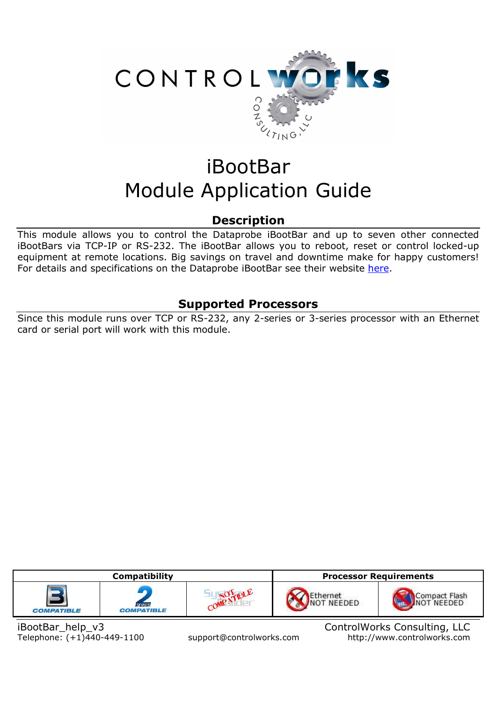

# iBootBar Module Application Guide

## **Description**

This module allows you to control the Dataprobe iBootBar and up to seven other connected iBootBars via TCP-IP or RS-232. The iBootBar allows you to reboot, reset or control locked-up equipment at remote locations. Big savings on travel and downtime make for happy customers! For details and specifications on the Dataprobe iBootBar see their website here.

# **Supported Processors**

Since this module runs over TCP or RS-232, any 2-series or 3-series processor with an Ethernet card or serial port will work with this module.



iBootBar\_help\_v3 ControlWorks Consulting, LLC Telephone: (+1)440-449-1100 support@controlworks.com http://www.controlworks.com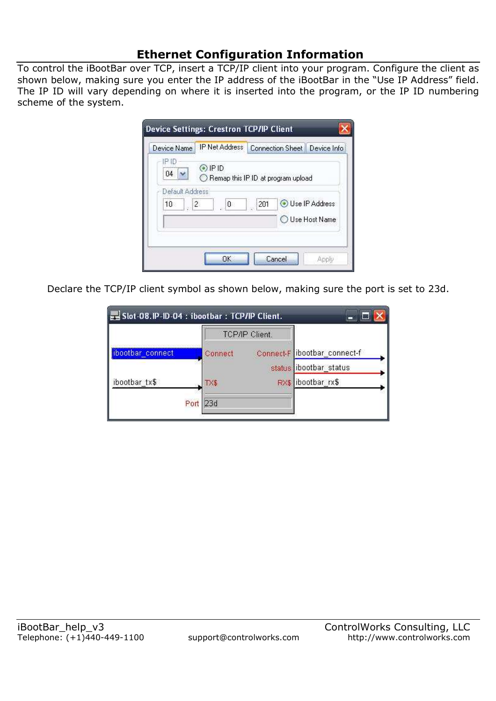# **Ethernet Configuration Information**

To control the iBootBar over TCP, insert a TCP/IP client into your program. Configure the client as shown below, making sure you enter the IP address of the iBootBar in the "Use IP Address" field. The IP ID will vary depending on where it is inserted into the program, or the IP ID numbering scheme of the system.

| Device Name                                 | <b>IP Net Address</b> | Connection Sheet Device Info       |                 |
|---------------------------------------------|-----------------------|------------------------------------|-----------------|
| IP ID<br>04                                 | $Q$ IP ID             | Remap this IP ID at program upload |                 |
| Default Address<br>$10 -$<br>$\mathbb{Z}$ 2 | 0                     | 201                                | Use IP Address  |
|                                             |                       |                                    | O Use Host Name |
|                                             |                       |                                    |                 |

Declare the TCP/IP client symbol as shown below, making sure the port is set to 23d.

|                  |             | TCP/IP Client. |                             |  |
|------------------|-------------|----------------|-----------------------------|--|
| ibootbar connect | Connect     |                | Connect-F bootbar_connect-f |  |
|                  |             |                | status ibootbar status      |  |
| ibootbar tx\$    | TX\$        |                | RX\$ ibootbar rx\$          |  |
|                  | 23d<br>Port |                |                             |  |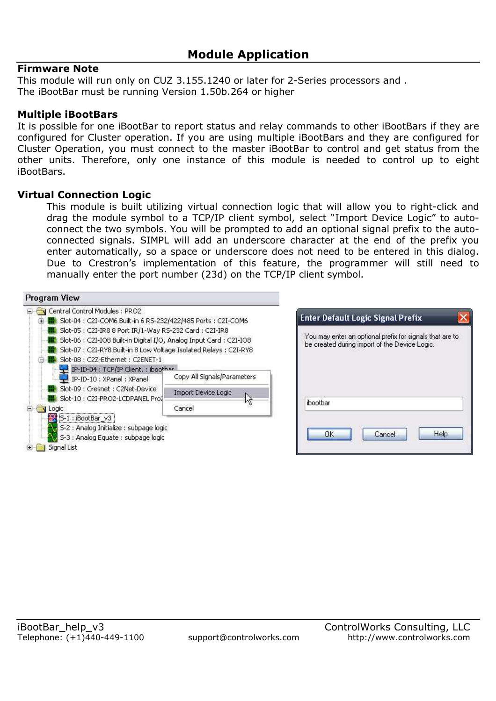#### **Firmware Note**

This module will run only on CUZ 3.155.1240 or later for 2-Series processors and . The iBootBar must be running Version 1.50b.264 or higher

#### **Multiple iBootBars**

It is possible for one iBootBar to report status and relay commands to other iBootBars if they are configured for Cluster operation. If you are using multiple iBootBars and they are configured for Cluster Operation, you must connect to the master iBootBar to control and get status from the other units. Therefore, only one instance of this module is needed to control up to eight iBootBars.

#### **Virtual Connection Logic**

This module is built utilizing virtual connection logic that will allow you to right-click and drag the module symbol to a TCP/IP client symbol, select "Import Device Logic" to autoconnect the two symbols. You will be prompted to add an optional signal prefix to the autoconnected signals. SIMPL will add an underscore character at the end of the prefix you enter automatically, so a space or underscore does not need to be entered in this dialog. Due to Crestron's implementation of this feature, the programmer will still need to manually enter the port number (23d) on the TCP/IP client symbol.



|          | be created during import of the Device Logic. | You may enter an optional prefix for signals that are to |
|----------|-----------------------------------------------|----------------------------------------------------------|
|          |                                               |                                                          |
|          |                                               |                                                          |
|          |                                               |                                                          |
| iboothar |                                               |                                                          |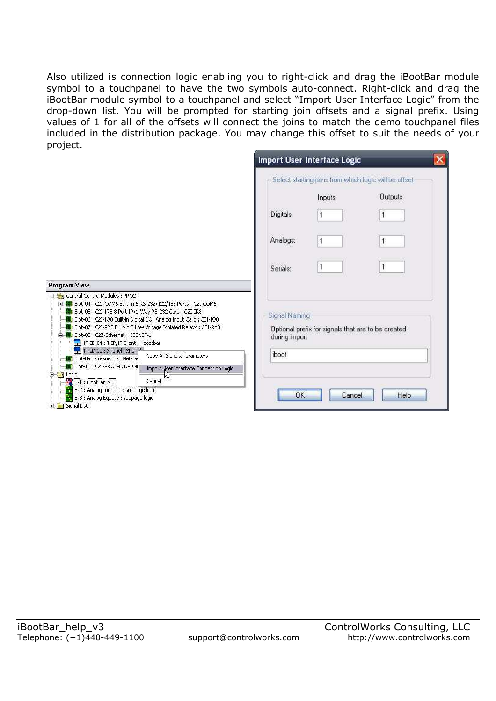Also utilized is connection logic enabling you to right-click and drag the iBootBar module symbol to a touchpanel to have the two symbols auto-connect. Right-click and drag the iBootBar module symbol to a touchpanel and select "Import User Interface Logic" from the drop-down list. You will be prompted for starting join offsets and a signal prefix. Using values of 1 for all of the offsets will connect the joins to match the demo touchpanel files included in the distribution package. You may change this offset to suit the needs of your project.

|                                                                                                                                                                                                                                                           |                                                                                                                                           |                                | Import User Interface Logic                        |                                                       |  |
|-----------------------------------------------------------------------------------------------------------------------------------------------------------------------------------------------------------------------------------------------------------|-------------------------------------------------------------------------------------------------------------------------------------------|--------------------------------|----------------------------------------------------|-------------------------------------------------------|--|
|                                                                                                                                                                                                                                                           |                                                                                                                                           |                                |                                                    | Select starting joins from which logic will be offset |  |
|                                                                                                                                                                                                                                                           |                                                                                                                                           |                                | Inputs                                             | <b>Outputs</b>                                        |  |
|                                                                                                                                                                                                                                                           |                                                                                                                                           | Digitals:                      |                                                    |                                                       |  |
|                                                                                                                                                                                                                                                           |                                                                                                                                           | Analogs:                       |                                                    |                                                       |  |
|                                                                                                                                                                                                                                                           |                                                                                                                                           | Serials:                       |                                                    | 1                                                     |  |
| Program View                                                                                                                                                                                                                                              |                                                                                                                                           |                                |                                                    |                                                       |  |
| G Central Control Modules : PRO2<br>El .: Slot-04 : C2I-COM6 Built-in 6 RS-232/422/485 Ports : C2I-COM6<br>Slot-05 : C2I-IR8 8 Port IR/1-Way R5-232 Card : C2I-IR8<br><b>HE Slot-08 : C2Z-Ethernet : C2ENET-1</b><br>IP-ID-04 : TCP/IP Client. : ibootbar | Slot-06 : C2I-IO8 Built-in Digital I/O, Analog Input Card : C2I-IO8<br>Slot-07 : C2I-RY8 Built-in 8 Low Voltage Isolated Relays : C2I-RY8 | Signal Naming<br>during import | Optional prefix for signals that are to be created |                                                       |  |
| IP-ID-10 : XPanel : XPan-1<br>Slot-09 : Cresnet : C2Net-De                                                                                                                                                                                                | Copy All Signals/Parameters                                                                                                               | iboot                          |                                                    |                                                       |  |
| Slot-10 : C2I-PRO2-LCDPANI<br><b>N</b> Logic<br>e.                                                                                                                                                                                                        | Import User Interface Connection Logic                                                                                                    |                                |                                                    |                                                       |  |
| 5-1 : iBootBar_v3<br>剁                                                                                                                                                                                                                                    | Nζ<br>Cancel                                                                                                                              |                                |                                                    |                                                       |  |
| S-2 : Analog Initialize : subpage logic<br>S-3 : Analog Equate : subpage logic<br>Signal List<br>Œ.                                                                                                                                                       |                                                                                                                                           | OK                             | Cancel                                             | Help                                                  |  |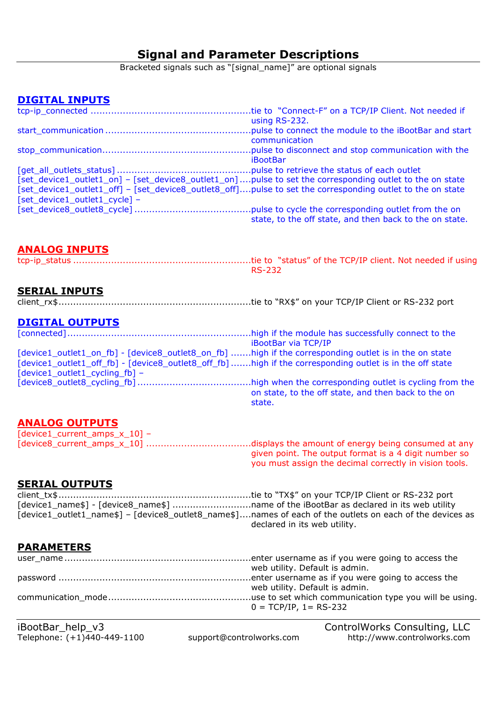# **Signal and Parameter Descriptions**

Bracketed signals such as "[signal\_name]" are optional signals

## **DIGITAL INPUTS**

|                                                                                                            | using RS-232.                                           |
|------------------------------------------------------------------------------------------------------------|---------------------------------------------------------|
|                                                                                                            |                                                         |
|                                                                                                            | communication                                           |
|                                                                                                            |                                                         |
|                                                                                                            | <b>iBootBar</b>                                         |
|                                                                                                            |                                                         |
| [set_device1_outlet1_on] - [set_device8_outlet1_on]pulse to set the corresponding outlet to the on state   |                                                         |
| [set_device1_outlet1_off] - [set_device8_outlet8_off]pulse to set the corresponding outlet to the on state |                                                         |
| [set_device1_outlet1_cycle] -                                                                              |                                                         |
|                                                                                                            |                                                         |
|                                                                                                            | state, to the off state, and then back to the on state. |

## **ANALOG INPUTS**

tcp-ip\_status .............................................................tie to "status" of the TCP/IP client. Not needed if using RS-232

## **SERIAL INPUTS**

client\_rx\$ ..................................................................tie to "RX\$" on your TCP/IP Client or RS-232 port

#### **DIGITAL OUTPUTS**

[connected] ...............................................................high if the module has successfully connect to the iBootBar via TCP/IP [device1\_outlet1\_on\_fb] - [device8\_outlet8\_on\_fb] .......high if the corresponding outlet is in the on state [device1\_outlet1\_off\_fb] - [device8\_outlet8\_off\_fb] .......high if the corresponding outlet is in the off state  $[device1$  outlet1 cycling  $fb]$  – [device8\_outlet8\_cycling\_fb] .......................................high when the corresponding outlet is cycling from the on state, to the off state, and then back to the on state.

## **ANALOG OUTPUTS**

[device1\_current\_amps\_x\_10] – [device8\_current\_amps\_x\_10] ....................................displays the amount of energy being consumed at any given point. The output format is a 4 digit number so you must assign the decimal correctly in vision tools.

## **SERIAL OUTPUTS**

client\_tx\$ ..................................................................tie to "TX\$" on your TCP/IP Client or RS-232 port [device1\_name\$] - [device8\_name\$] .............................name of the iBootBar as declared in its web utility [device1\_outlet1\_name\$] – [device8\_outlet8\_name\$] ....names of each of the outlets on each of the devices as declared in its web utility.

## **PARAMETERS**

| web utility. Default is admin. |
|--------------------------------|
|                                |
| web utility. Default is admin. |
|                                |
| $0 = TCP/IP$ , 1 = RS-232      |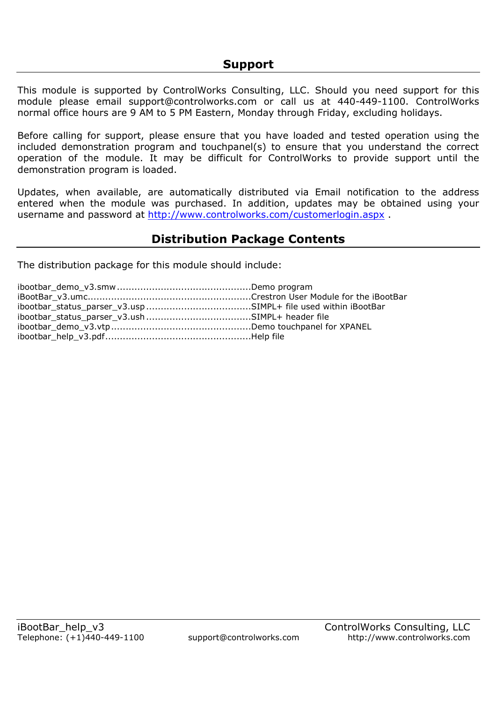This module is supported by ControlWorks Consulting, LLC. Should you need support for this module please email support@controlworks.com or call us at 440-449-1100. ControlWorks normal office hours are 9 AM to 5 PM Eastern, Monday through Friday, excluding holidays.

Before calling for support, please ensure that you have loaded and tested operation using the included demonstration program and touchpanel(s) to ensure that you understand the correct operation of the module. It may be difficult for ControlWorks to provide support until the demonstration program is loaded.

Updates, when available, are automatically distributed via Email notification to the address entered when the module was purchased. In addition, updates may be obtained using your username and password at http://www.controlworks.com/customerlogin.aspx .

# **Distribution Package Contents**

The distribution package for this module should include: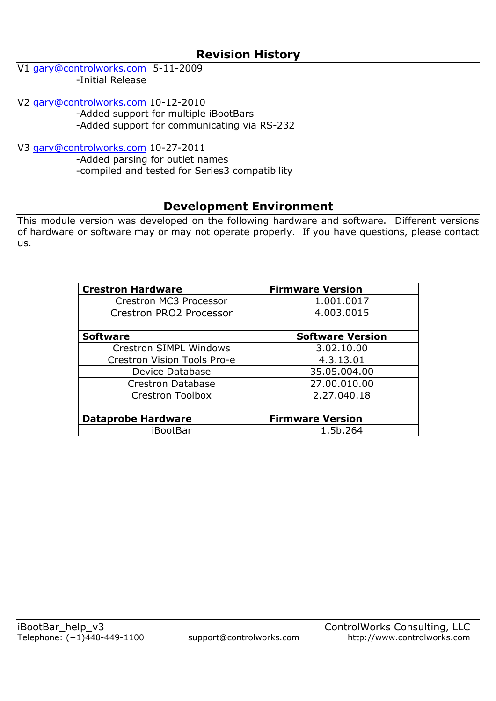V1 gary@controlworks.com 5-11-2009 -Initial Release

V2 gary@controlworks.com 10-12-2010 -Added support for multiple iBootBars

-Added support for communicating via RS-232

V3 gary@controlworks.com 10-27-2011

-Added parsing for outlet names

-compiled and tested for Series3 compatibility

## **Development Environment**

This module version was developed on the following hardware and software. Different versions of hardware or software may or may not operate properly. If you have questions, please contact us.

| <b>Crestron Hardware</b>      | <b>Firmware Version</b> |
|-------------------------------|-------------------------|
| Crestron MC3 Processor        | 1.001.0017              |
| Crestron PRO2 Processor       | 4.003.0015              |
|                               |                         |
| <b>Software</b>               | <b>Software Version</b> |
| <b>Crestron SIMPL Windows</b> | 3.02.10.00              |
| Crestron Vision Tools Pro-e   | 4.3.13.01               |
| Device Database               | 35.05.004.00            |
| <b>Crestron Database</b>      | 27.00.010.00            |
| Crestron Toolbox              | 2.27.040.18             |
|                               |                         |
| <b>Dataprobe Hardware</b>     | <b>Firmware Version</b> |
| iBootBar                      | 1.5b.264                |